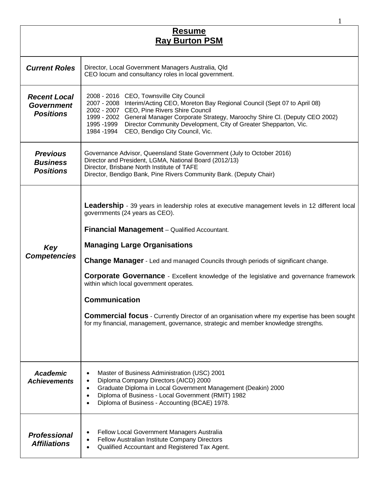| <b>Resume</b><br><b>Ray Burton PSM</b>                       |                                                                                                                                                                                                                                                                                                                                                                                                                                                                                                                                                                                                                                                                                     |
|--------------------------------------------------------------|-------------------------------------------------------------------------------------------------------------------------------------------------------------------------------------------------------------------------------------------------------------------------------------------------------------------------------------------------------------------------------------------------------------------------------------------------------------------------------------------------------------------------------------------------------------------------------------------------------------------------------------------------------------------------------------|
| <b>Current Roles</b>                                         | Director, Local Government Managers Australia, Qld<br>CEO locum and consultancy roles in local government.                                                                                                                                                                                                                                                                                                                                                                                                                                                                                                                                                                          |
| <b>Recent Local</b><br><b>Government</b><br><b>Positions</b> | 2008 - 2016 CEO, Townsville City Council<br>2007 - 2008 Interim/Acting CEO, Moreton Bay Regional Council (Sept 07 to April 08)<br>2002 - 2007 CEO, Pine Rivers Shire Council<br>1999 - 2002 General Manager Corporate Strategy, Maroochy Shire Cl. (Deputy CEO 2002)<br>1995 -1999 Director Community Development, City of Greater Shepparton, Vic.<br>1984 -1994 CEO, Bendigo City Council, Vic.                                                                                                                                                                                                                                                                                   |
| <b>Previous</b><br><b>Business</b><br><b>Positions</b>       | Governance Advisor, Queensland State Government (July to October 2016)<br>Director and President, LGMA, National Board (2012/13)<br>Director, Brisbane North Institute of TAFE<br>Director, Bendigo Bank, Pine Rivers Community Bank. (Deputy Chair)                                                                                                                                                                                                                                                                                                                                                                                                                                |
| Key<br><b>Competencies</b>                                   | Leadership - 39 years in leadership roles at executive management levels in 12 different local<br>governments (24 years as CEO).<br>Financial Management - Qualified Accountant.<br><b>Managing Large Organisations</b><br><b>Change Manager</b> - Led and managed Councils through periods of significant change.<br><b>Corporate Governance</b> - Excellent knowledge of the legislative and governance framework<br>within which local government operates.<br><b>Communication</b><br><b>Commercial focus</b> - Currently Director of an organisation where my expertise has been sought<br>for my financial, management, governance, strategic and member knowledge strengths. |
| <b>Academic</b><br><b>Achievements</b>                       | Master of Business Administration (USC) 2001<br>$\bullet$<br>Diploma Company Directors (AICD) 2000<br>٠<br>Graduate Diploma in Local Government Management (Deakin) 2000<br>$\bullet$<br>Diploma of Business - Local Government (RMIT) 1982<br>$\bullet$<br>Diploma of Business - Accounting (BCAE) 1978.                                                                                                                                                                                                                                                                                                                                                                           |
| <b>Professional</b><br><b>Affiliations</b>                   | Fellow Local Government Managers Australia<br>Fellow Australian Institute Company Directors<br>٠<br>Qualified Accountant and Registered Tax Agent.<br>$\bullet$                                                                                                                                                                                                                                                                                                                                                                                                                                                                                                                     |